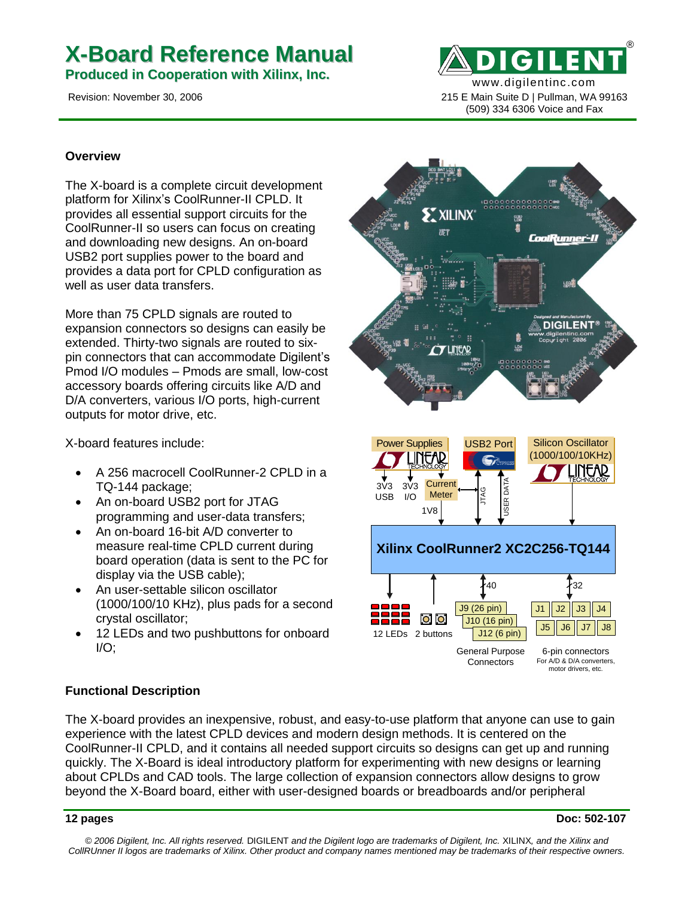# **X-Board Reference Manual**

**Produced in Cooperation with Xilinx, Inc.**

www.digilentinc.com Revision: November 30, 2006 215 E Main Suite D | Pullman, WA 99163

®

(509) 334 6306 Voice and Fax

#### **Overview**

The X-board is a complete circuit development platform for Xilinx's CoolRunner-II CPLD. It provides all essential support circuits for the CoolRunner-II so users can focus on creating and downloading new designs. An on-board USB2 port supplies power to the board and provides a data port for CPLD configuration as well as user data transfers.

More than 75 CPLD signals are routed to expansion connectors so designs can easily be extended. Thirty-two signals are routed to sixpin connectors that can accommodate Digilent's Pmod I/O modules – Pmods are small, low-cost accessory boards offering circuits like A/D and D/A converters, various I/O ports, high-current outputs for motor drive, etc.

X-board features include:

- A 256 macrocell CoolRunner-2 CPLD in a TQ-144 package;
- An on-board USB2 port for JTAG programming and user-data transfers;
- An on-board 16-bit A/D converter to measure real-time CPLD current during board operation (data is sent to the PC for display via the USB cable);
- An user-settable silicon oscillator (1000/100/10 KHz), plus pads for a second crystal oscillator;
- 12 LEDs and two pushbuttons for onboard  $I/O$ ;



#### **Functional Description**

The X-board provides an inexpensive, robust, and easy-to-use platform that anyone can use to gain experience with the latest CPLD devices and modern design methods. It is centered on the CoolRunner-II CPLD, and it contains all needed support circuits so designs can get up and running quickly. The X-Board is ideal introductory platform for experimenting with new designs or learning about CPLDs and CAD tools. The large collection of expansion connectors allow designs to grow beyond the X-Board board, either with user-designed boards or breadboards and/or peripheral

*© 2006 Digilent, Inc. All rights reserved.* DIGILENT *and the Digilent logo are trademarks of Digilent, Inc.* XILINX*, and the Xilinx and CollRUnner II logos are trademarks of Xilinx. Other product and company names mentioned may be trademarks of their respective owners.*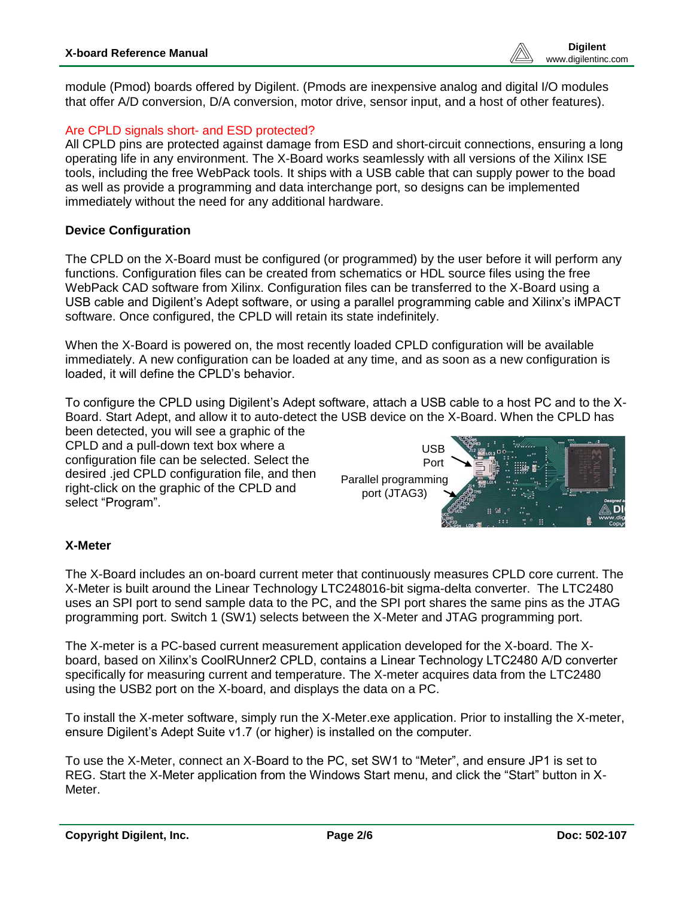module (Pmod) boards offered by Digilent. (Pmods are inexpensive analog and digital I/O modules that offer A/D conversion, D/A conversion, motor drive, sensor input, and a host of other features).

# Are CPLD signals short- and ESD protected?

All CPLD pins are protected against damage from ESD and short-circuit connections, ensuring a long operating life in any environment. The X-Board works seamlessly with all versions of the Xilinx ISE tools, including the free WebPack tools. It ships with a USB cable that can supply power to the boad as well as provide a programming and data interchange port, so designs can be implemented immediately without the need for any additional hardware.

#### **Device Configuration**

The CPLD on the X-Board must be configured (or programmed) by the user before it will perform any functions. Configuration files can be created from schematics or HDL source files using the free WebPack CAD software from Xilinx. Configuration files can be transferred to the X-Board using a USB cable and Digilent's Adept software, or using a parallel programming cable and Xilinx's iMPACT software. Once configured, the CPLD will retain its state indefinitely.

When the X-Board is powered on, the most recently loaded CPLD configuration will be available immediately. A new configuration can be loaded at any time, and as soon as a new configuration is loaded, it will define the CPLD's behavior.

To configure the CPLD using Digilent's Adept software, attach a USB cable to a host PC and to the X-Board. Start Adept, and allow it to auto-detect the USB device on the X-Board. When the CPLD has

been detected, you will see a graphic of the CPLD and a pull-down text box where a configuration file can be selected. Select the desired .jed CPLD configuration file, and then right-click on the graphic of the CPLD and select "Program".



# **X-Meter**

The X-Board includes an on-board current meter that continuously measures CPLD core current. The X-Meter is built around the Linear Technology LTC248016-bit sigma-delta converter. The LTC2480 uses an SPI port to send sample data to the PC, and the SPI port shares the same pins as the JTAG programming port. Switch 1 (SW1) selects between the X-Meter and JTAG programming port.

The X-meter is a PC-based current measurement application developed for the X-board. The Xboard, based on Xilinx's CoolRUnner2 CPLD, contains a Linear Technology LTC2480 A/D converter specifically for measuring current and temperature. The X-meter acquires data from the LTC2480 using the USB2 port on the X-board, and displays the data on a PC.

To install the X-meter software, simply run the X-Meter.exe application. Prior to installing the X-meter, ensure Digilent's Adept Suite v1.7 (or higher) is installed on the computer.

To use the X-Meter, connect an X-Board to the PC, set SW1 to "Meter", and ensure JP1 is set to REG. Start the X-Meter application from the Windows Start menu, and click the "Start" button in X-Meter.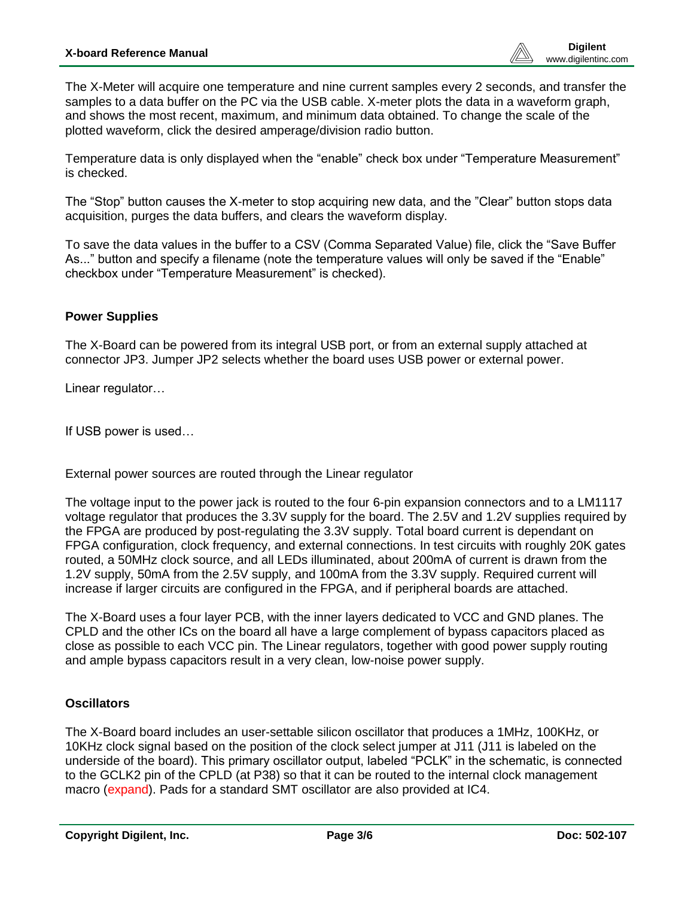The X-Meter will acquire one temperature and nine current samples every 2 seconds, and transfer the samples to a data buffer on the PC via the USB cable. X-meter plots the data in a waveform graph, and shows the most recent, maximum, and minimum data obtained. To change the scale of the plotted waveform, click the desired amperage/division radio button.

Temperature data is only displayed when the "enable" check box under "Temperature Measurement" is checked.

The "Stop" button causes the X-meter to stop acquiring new data, and the "Clear" button stops data acquisition, purges the data buffers, and clears the waveform display.

To save the data values in the buffer to a CSV (Comma Separated Value) file, click the "Save Buffer As..." button and specify a filename (note the temperature values will only be saved if the "Enable" checkbox under "Temperature Measurement" is checked).

# **Power Supplies**

The X-Board can be powered from its integral USB port, or from an external supply attached at connector JP3. Jumper JP2 selects whether the board uses USB power or external power.

Linear regulator…

If USB power is used…

External power sources are routed through the Linear regulator

The voltage input to the power jack is routed to the four 6-pin expansion connectors and to a LM1117 voltage regulator that produces the 3.3V supply for the board. The 2.5V and 1.2V supplies required by the FPGA are produced by post-regulating the 3.3V supply. Total board current is dependant on FPGA configuration, clock frequency, and external connections. In test circuits with roughly 20K gates routed, a 50MHz clock source, and all LEDs illuminated, about 200mA of current is drawn from the 1.2V supply, 50mA from the 2.5V supply, and 100mA from the 3.3V supply. Required current will increase if larger circuits are configured in the FPGA, and if peripheral boards are attached.

The X-Board uses a four layer PCB, with the inner layers dedicated to VCC and GND planes. The CPLD and the other ICs on the board all have a large complement of bypass capacitors placed as close as possible to each VCC pin. The Linear regulators, together with good power supply routing and ample bypass capacitors result in a very clean, low-noise power supply.

#### **Oscillators**

The X-Board board includes an user-settable silicon oscillator that produces a 1MHz, 100KHz, or 10KHz clock signal based on the position of the clock select jumper at J11 (J11 is labeled on the underside of the board). This primary oscillator output, labeled "PCLK" in the schematic, is connected to the GCLK2 pin of the CPLD (at P38) so that it can be routed to the internal clock management macro (expand). Pads for a standard SMT oscillator are also provided at IC4.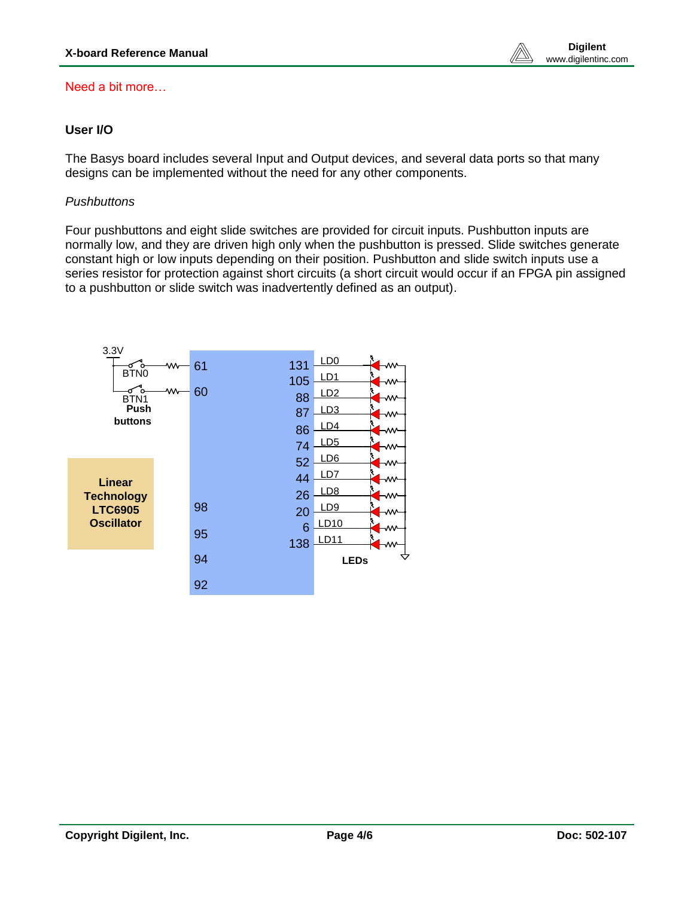www.digilentinc.com

### Need a bit more…

# **User I/O**

The Basys board includes several Input and Output devices, and several data ports so that many designs can be implemented without the need for any other components.

### *Pushbuttons*

Four pushbuttons and eight slide switches are provided for circuit inputs. Pushbutton inputs are normally low, and they are driven high only when the pushbutton is pressed. Slide switches generate constant high or low inputs depending on their position. Pushbutton and slide switch inputs use a series resistor for protection against short circuits (a short circuit would occur if an FPGA pin assigned to a pushbutton or slide switch was inadvertently defined as an output).

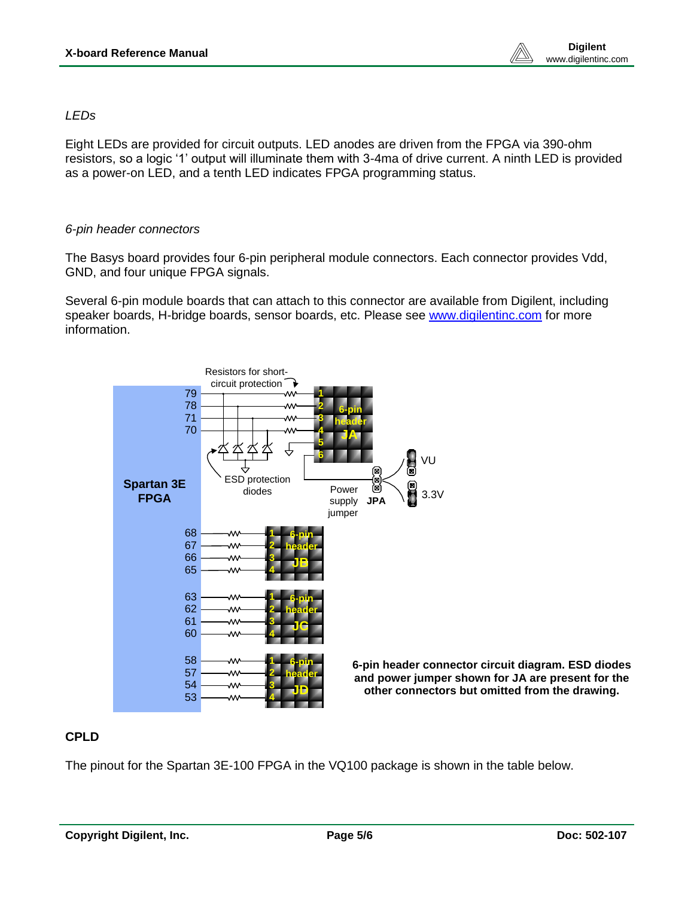www.digilentinc.com

#### *LEDs*

Eight LEDs are provided for circuit outputs. LED anodes are driven from the FPGA via 390-ohm resistors, so a logic '1' output will illuminate them with 3-4ma of drive current. A ninth LED is provided as a power-on LED, and a tenth LED indicates FPGA programming status.

#### *6-pin header connectors*

The Basys board provides four 6-pin peripheral module connectors. Each connector provides Vdd, GND, and four unique FPGA signals.

Several 6-pin module boards that can attach to this connector are available from Digilent, including speaker boards, H-bridge boards, sensor boards, etc. Please see [www.digilentinc.com](http://www.digilentinc.com/) for more information.



**6-pin header connector circuit diagram. ESD diodes and power jumper shown for JA are present for the other connectors but omitted from the drawing.**

# **CPLD**

The pinout for the Spartan 3E-100 FPGA in the VQ100 package is shown in the table below.